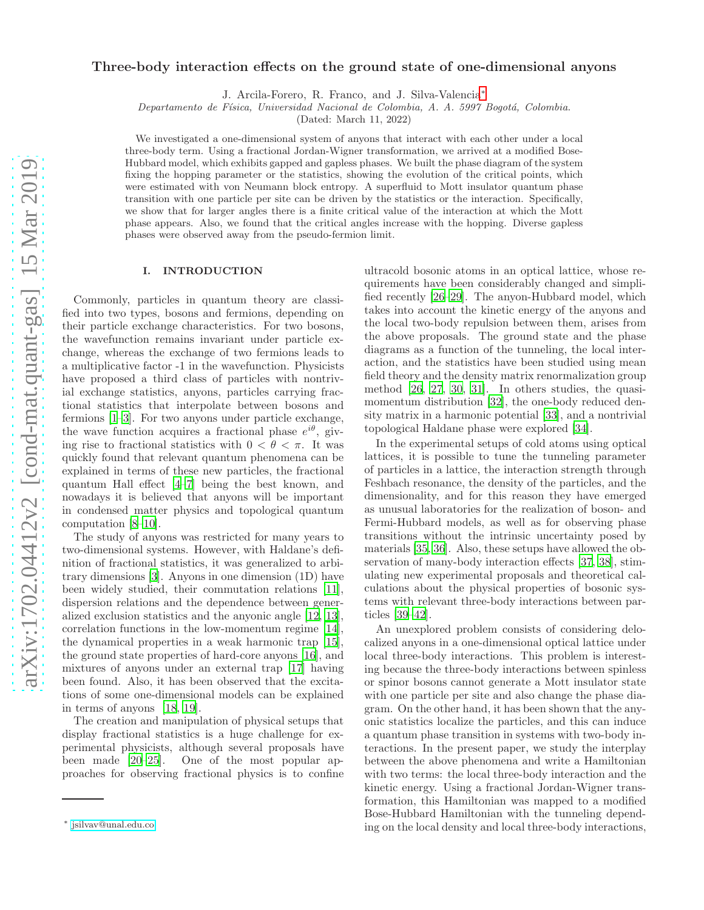# Three-body interaction effects on the ground state of one-dimensional anyons

J. Arcila-Forero, R. Franco, and J. Silva-Valencia[∗](#page-0-0)

Departamento de Física, Universidad Nacional de Colombia, A. A. 5997 Bogotá, Colombia.

(Dated: March 11, 2022)

We investigated a one-dimensional system of anyons that interact with each other under a local three-body term. Using a fractional Jordan-Wigner transformation, we arrived at a modified Bose-Hubbard model, which exhibits gapped and gapless phases. We built the phase diagram of the system fixing the hopping parameter or the statistics, showing the evolution of the critical points, which were estimated with von Neumann block entropy. A superfluid to Mott insulator quantum phase transition with one particle per site can be driven by the statistics or the interaction. Specifically, we show that for larger angles there is a finite critical value of the interaction at which the Mott phase appears. Also, we found that the critical angles increase with the hopping. Diverse gapless phases were observed away from the pseudo-fermion limit.

### I. INTRODUCTION

Commonly, particles in quantum theory are classified into two types, bosons and fermions, depending on their particle exchange characteristics. For two bosons, the wavefunction remains invariant under particle exchange, whereas the exchange of two fermions leads to a multiplicative factor -1 in the wavefunction. Physicists have proposed a third class of particles with nontrivial exchange statistics, anyons, particles carrying fractional statistics that interpolate between bosons and fermions [\[1](#page-9-0)[–3](#page-9-1)]. For two anyons under particle exchange, the wave function acquires a fractional phase  $e^{i\theta}$ , giving rise to fractional statistics with  $0 < \theta < \pi$ . It was quickly found that relevant quantum phenomena can be explained in terms of these new particles, the fractional quantum Hall effect [\[4](#page-9-2)[–7](#page-9-3)] being the best known, and nowadays it is believed that anyons will be important in condensed matter physics and topological quantum computation [\[8](#page-9-4)[–10\]](#page-9-5).

The study of anyons was restricted for many years to two-dimensional systems. However, with Haldane's definition of fractional statistics, it was generalized to arbitrary dimensions [\[3\]](#page-9-1). Anyons in one dimension (1D) have been widely studied, their commutation relations [\[11\]](#page-9-6), dispersion relations and the dependence between generalized exclusion statistics and the anyonic angle [\[12,](#page-9-7) [13\]](#page-9-8), correlation functions in the low-momentum regime [\[14\]](#page-9-9), the dynamical properties in a weak harmonic trap [\[15\]](#page-9-10), the ground state properties of hard-core anyons [\[16\]](#page-9-11), and mixtures of anyons under an external trap [\[17](#page-9-12)] having been found. Also, it has been observed that the excitations of some one-dimensional models can be explained in terms of anyons [\[18,](#page-9-13) [19\]](#page-9-14).

The creation and manipulation of physical setups that display fractional statistics is a huge challenge for experimental physicists, although several proposals have been made [\[20](#page-9-15)[–25](#page-9-16)]. One of the most popular approaches for observing fractional physics is to confine

ultracold bosonic atoms in an optical lattice, whose requirements have been considerably changed and simplified recently [\[26](#page-9-17)[–29\]](#page-9-18). The anyon-Hubbard model, which takes into account the kinetic energy of the anyons and the local two-body repulsion between them, arises from the above proposals. The ground state and the phase diagrams as a function of the tunneling, the local interaction, and the statistics have been studied using mean field theory and the density matrix renormalization group method [\[26,](#page-9-17) [27,](#page-9-19) [30,](#page-9-20) [31\]](#page-9-21). In others studies, the quasimomentum distribution [\[32\]](#page-9-22), the one-body reduced density matrix in a harmonic potential [\[33\]](#page-9-23), and a nontrivial topological Haldane phase were explored [\[34](#page-9-24)].

In the experimental setups of cold atoms using optical lattices, it is possible to tune the tunneling parameter of particles in a lattice, the interaction strength through Feshbach resonance, the density of the particles, and the dimensionality, and for this reason they have emerged as unusual laboratories for the realization of boson- and Fermi-Hubbard models, as well as for observing phase transitions without the intrinsic uncertainty posed by materials [\[35](#page-9-25), [36](#page-9-26)]. Also, these setups have allowed the observation of many-body interaction effects [\[37](#page-9-27), [38](#page-9-28)], stimulating new experimental proposals and theoretical calculations about the physical properties of bosonic systems with relevant three-body interactions between particles [\[39](#page-9-29)[–42](#page-9-30)].

An unexplored problem consists of considering delocalized anyons in a one-dimensional optical lattice under local three-body interactions. This problem is interesting because the three-body interactions between spinless or spinor bosons cannot generate a Mott insulator state with one particle per site and also change the phase diagram. On the other hand, it has been shown that the anyonic statistics localize the particles, and this can induce a quantum phase transition in systems with two-body interactions. In the present paper, we study the interplay between the above phenomena and write a Hamiltonian with two terms: the local three-body interaction and the kinetic energy. Using a fractional Jordan-Wigner transformation, this Hamiltonian was mapped to a modified Bose-Hubbard Hamiltonian with the tunneling depending on the local density and local three-body interactions,

<span id="page-0-0"></span><sup>∗</sup> [jsilvav@unal.edu.co](mailto:jsilvav@unal.edu.co)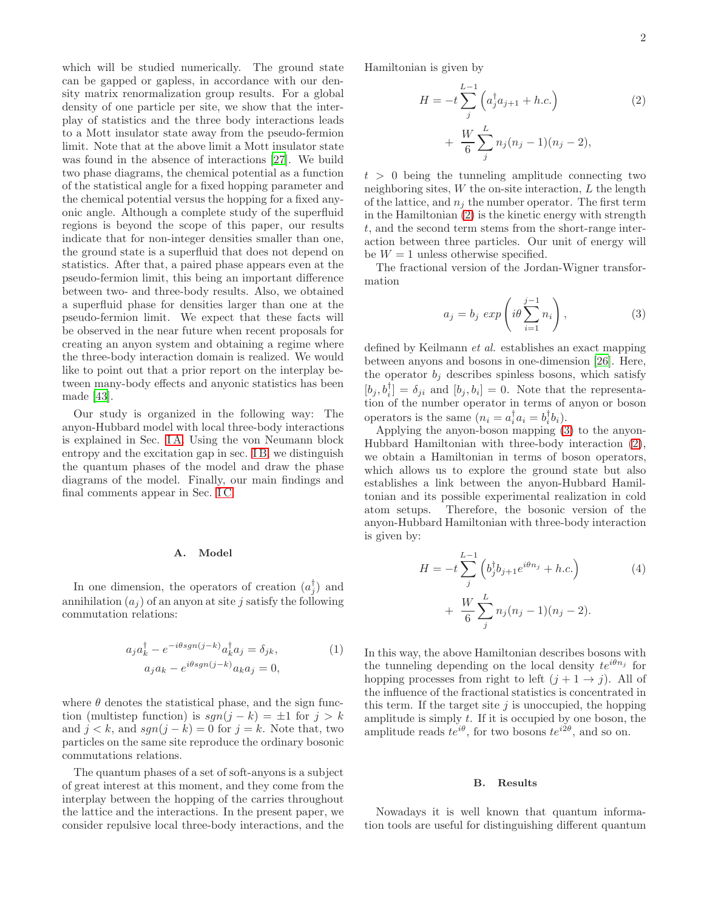which will be studied numerically. The ground state can be gapped or gapless, in accordance with our density matrix renormalization group results. For a global density of one particle per site, we show that the interplay of statistics and the three body interactions leads to a Mott insulator state away from the pseudo-fermion limit. Note that at the above limit a Mott insulator state was found in the absence of interactions [\[27\]](#page-9-19). We build two phase diagrams, the chemical potential as a function of the statistical angle for a fixed hopping parameter and the chemical potential versus the hopping for a fixed anyonic angle. Although a complete study of the superfluid regions is beyond the scope of this paper, our results indicate that for non-integer densities smaller than one, the ground state is a superfluid that does not depend on statistics. After that, a paired phase appears even at the pseudo-fermion limit, this being an important difference between two- and three-body results. Also, we obtained a superfluid phase for densities larger than one at the pseudo-fermion limit. We expect that these facts will be observed in the near future when recent proposals for creating an anyon system and obtaining a regime where the three-body interaction domain is realized. We would like to point out that a prior report on the interplay between many-body effects and anyonic statistics has been made [\[43](#page-9-31)].

Our study is organized in the following way: The anyon-Hubbard model with local three-body interactions is explained in Sec. [I A.](#page-1-0) Using the von Neumann block entropy and the excitation gap in sec. IB, we distinguish the quantum phases of the model and draw the phase diagrams of the model. Finally, our main findings and final comments appear in Sec. [I C.](#page-8-0)

#### <span id="page-1-0"></span>A. Model

In one dimension, the operators of creation  $(a_j^{\dagger})$  and annihilation  $(a_i)$  of an anyon at site j satisfy the following commutation relations:

$$
a_j a_k^{\dagger} - e^{-i\theta sgn(j-k)} a_k^{\dagger} a_j = \delta_{jk},
$$
  
\n
$$
a_j a_k - e^{i\theta sgn(j-k)} a_k a_j = 0,
$$
\n(1)

where  $\theta$  denotes the statistical phase, and the sign function (multistep function) is  $sgn(j - k) = \pm 1$  for  $j > k$ and  $j < k$ , and  $sgn(j - k) = 0$  for  $j = k$ . Note that, two particles on the same site reproduce the ordinary bosonic commutations relations.

The quantum phases of a set of soft-anyons is a subject of great interest at this moment, and they come from the interplay between the hopping of the carries throughout the lattice and the interactions. In the present paper, we consider repulsive local three-body interactions, and the Hamiltonian is given by

<span id="page-1-2"></span>
$$
H = -t \sum_{j}^{L-1} \left( a_j^{\dagger} a_{j+1} + h.c. \right)
$$
  
+ 
$$
\frac{W}{6} \sum_{j}^{L} n_j (n_j - 1)(n_j - 2),
$$
 (2)

 $t > 0$  being the tunneling amplitude connecting two neighboring sites,  $W$  the on-site interaction,  $L$  the length of the lattice, and  $n_i$  the number operator. The first term in the Hamiltonian [\(2\)](#page-1-2) is the kinetic energy with strength t, and the second term stems from the short-range interaction between three particles. Our unit of energy will be  $W = 1$  unless otherwise specified.

The fractional version of the Jordan-Wigner transformation

<span id="page-1-3"></span>
$$
a_j = b_j \exp\left(i\theta \sum_{i=1}^{j-1} n_i\right),\tag{3}
$$

defined by Keilmann et al. establishes an exact mapping between anyons and bosons in one-dimension [\[26](#page-9-17)]. Here, the operator  $b_i$  describes spinless bosons, which satisfy  $[b_j, b_i^{\dagger}] = \delta_{ji}$  and  $[b_j, b_i] = 0$ . Note that the representation of the number operator in terms of anyon or boson operators is the same  $(n_i = a_i^{\dagger} a_i = b_i^{\dagger} b_i).$ 

Applying the anyon-boson mapping [\(3\)](#page-1-3) to the anyon-Hubbard Hamiltonian with three-body interaction [\(2\)](#page-1-2), we obtain a Hamiltonian in terms of boson operators, which allows us to explore the ground state but also establishes a link between the anyon-Hubbard Hamiltonian and its possible experimental realization in cold atom setups. Therefore, the bosonic version of the anyon-Hubbard Hamiltonian with three-body interaction is given by:

$$
H = -t \sum_{j}^{L-1} \left( b_j^{\dagger} b_{j+1} e^{i\theta n_j} + h.c. \right)
$$
  
+ 
$$
\frac{W}{6} \sum_{j}^{L} n_j (n_j - 1)(n_j - 2).
$$
 (4)

In this way, the above Hamiltonian describes bosons with the tunneling depending on the local density  $te^{i\theta n_j}$  for hopping processes from right to left  $(j + 1 \rightarrow j)$ . All of the influence of the fractional statistics is concentrated in this term. If the target site  $j$  is unoccupied, the hopping amplitude is simply  $t$ . If it is occupied by one boson, the amplitude reads  $te^{i\theta}$ , for two bosons  $te^{i2\theta}$ , and so on.

#### <span id="page-1-1"></span>B. Results

Nowadays it is well known that quantum information tools are useful for distinguishing different quantum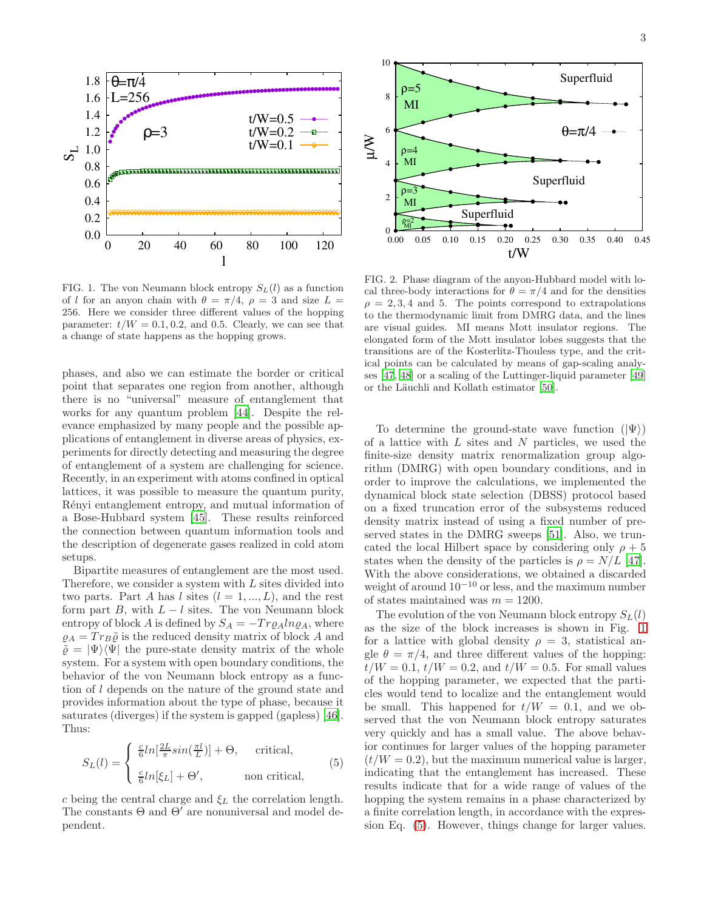

<span id="page-2-0"></span>FIG. 1. The von Neumann block entropy  $S_L(l)$  as a function of l for an anyon chain with  $\theta = \pi/4$ ,  $\rho = 3$  and size  $L =$ 256. Here we consider three different values of the hopping parameter:  $t/W = 0.1, 0.2,$  and 0.5. Clearly, we can see that a change of state happens as the hopping grows.

phases, and also we can estimate the border or critical point that separates one region from another, although there is no "universal" measure of entanglement that works for any quantum problem [\[44\]](#page-9-32). Despite the relevance emphasized by many people and the possible applications of entanglement in diverse areas of physics, experiments for directly detecting and measuring the degree of entanglement of a system are challenging for science. Recently, in an experiment with atoms confined in optical lattices, it was possible to measure the quantum purity, R´enyi entanglement entropy, and mutual information of a Bose-Hubbard system [\[45](#page-9-33)]. These results reinforced the connection between quantum information tools and the description of degenerate gases realized in cold atom setups.

Bipartite measures of entanglement are the most used. Therefore, we consider a system with L sites divided into two parts. Part A has l sites  $(l = 1, ..., L)$ , and the rest form part B, with  $L - l$  sites. The von Neumann block entropy of block A is defined by  $S_A = -Tr \rho_A ln \rho_A$ , where  $\rho_A = Tr_B\tilde{\rho}$  is the reduced density matrix of block A and  $\tilde{\varrho} = |\Psi\rangle\langle\Psi|$  the pure-state density matrix of the whole system. For a system with open boundary conditions, the behavior of the von Neumann block entropy as a function of l depends on the nature of the ground state and provides information about the type of phase, because it saturates (diverges) if the system is gapped (gapless) [\[46\]](#page-9-34). Thus:

<span id="page-2-1"></span>
$$
S_L(l) = \begin{cases} \frac{c}{6} ln[\frac{2L}{\pi} sin(\frac{\pi l}{L})] + \Theta, & \text{critical,} \\ \frac{c}{6} ln[\xi_L] + \Theta', & \text{non critical,} \end{cases}
$$
(5)

c being the central charge and  $\xi_L$  the correlation length. The constants  $\Theta$  and  $\Theta'$  are nonuniversal and model dependent.



<span id="page-2-2"></span>FIG. 2. Phase diagram of the anyon-Hubbard model with local three-body interactions for  $\theta = \pi/4$  and for the densities  $\rho = 2, 3, 4$  and 5. The points correspond to extrapolations to the thermodynamic limit from DMRG data, and the lines are visual guides. MI means Mott insulator regions. The elongated form of the Mott insulator lobes suggests that the transitions are of the Kosterlitz-Thouless type, and the critical points can be calculated by means of gap-scaling analyses [\[47,](#page-9-35) [48](#page-9-36)] or a scaling of the Luttinger-liquid parameter [\[49](#page-9-37)] or the Läuchli and Kollath estimator [\[50\]](#page-9-38).

To determine the ground-state wave function  $(|\Psi\rangle)$ of a lattice with  $L$  sites and  $N$  particles, we used the finite-size density matrix renormalization group algorithm (DMRG) with open boundary conditions, and in order to improve the calculations, we implemented the dynamical block state selection (DBSS) protocol based on a fixed truncation error of the subsystems reduced density matrix instead of using a fixed number of preserved states in the DMRG sweeps [\[51\]](#page-9-39). Also, we truncated the local Hilbert space by considering only  $\rho + 5$ states when the density of the particles is  $\rho = N/L$  [\[47\]](#page-9-35). With the above considerations, we obtained a discarded weight of around 10<sup>−</sup><sup>10</sup> or less, and the maximum number of states maintained was  $m = 1200$ .

The evolution of the von Neumann block entropy  $S_L(l)$ as the size of the block increases is shown in Fig. [1](#page-2-0) for a lattice with global density  $\rho = 3$ , statistical angle  $\theta = \pi/4$ , and three different values of the hopping:  $t/W = 0.1, t/W = 0.2$ , and  $t/W = 0.5$ . For small values of the hopping parameter, we expected that the particles would tend to localize and the entanglement would be small. This happened for  $t/W = 0.1$ , and we observed that the von Neumann block entropy saturates very quickly and has a small value. The above behavior continues for larger values of the hopping parameter  $(t/W = 0.2)$ , but the maximum numerical value is larger, indicating that the entanglement has increased. These results indicate that for a wide range of values of the hopping the system remains in a phase characterized by a finite correlation length, in accordance with the expression Eq. [\(5\)](#page-2-1). However, things change for larger values.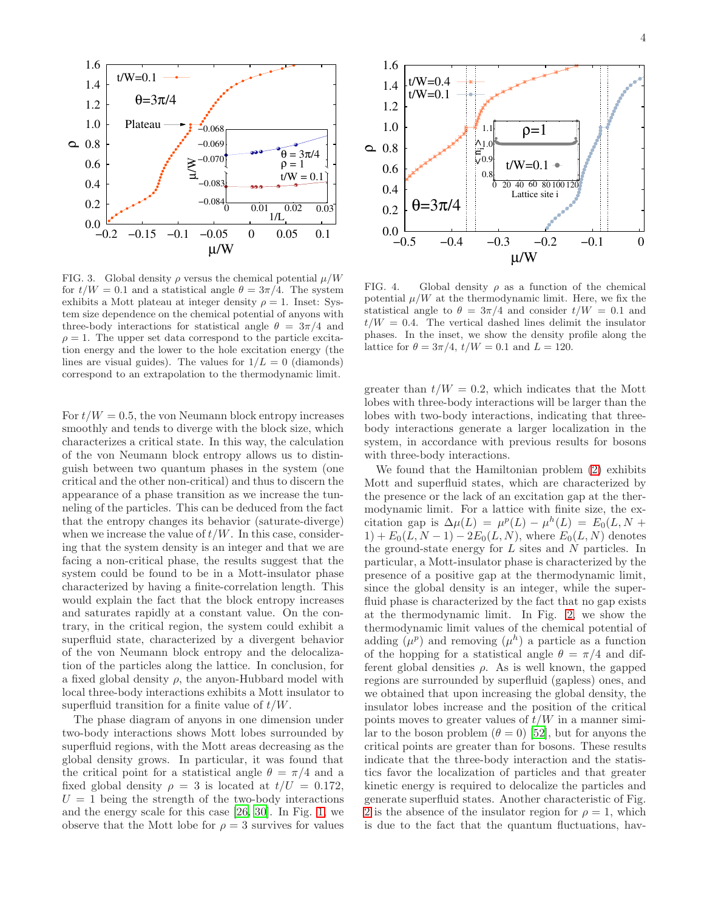

<span id="page-3-0"></span>FIG. 3. Global density  $\rho$  versus the chemical potential  $\mu/W$ for  $t/W = 0.1$  and a statistical angle  $\theta = 3\pi/4$ . The system exhibits a Mott plateau at integer density  $\rho = 1$ . Inset: System size dependence on the chemical potential of anyons with three-body interactions for statistical angle  $\theta = 3\pi/4$  and  $\rho = 1$ . The upper set data correspond to the particle excitation energy and the lower to the hole excitation energy (the lines are visual guides). The values for  $1/L = 0$  (diamonds) correspond to an extrapolation to the thermodynamic limit.

For  $t/W = 0.5$ , the von Neumann block entropy increases smoothly and tends to diverge with the block size, which characterizes a critical state. In this way, the calculation of the von Neumann block entropy allows us to distinguish between two quantum phases in the system (one critical and the other non-critical) and thus to discern the appearance of a phase transition as we increase the tunneling of the particles. This can be deduced from the fact that the entropy changes its behavior (saturate-diverge) when we increase the value of  $t/W$ . In this case, considering that the system density is an integer and that we are facing a non-critical phase, the results suggest that the system could be found to be in a Mott-insulator phase characterized by having a finite-correlation length. This would explain the fact that the block entropy increases and saturates rapidly at a constant value. On the contrary, in the critical region, the system could exhibit a superfluid state, characterized by a divergent behavior of the von Neumann block entropy and the delocalization of the particles along the lattice. In conclusion, for a fixed global density  $\rho$ , the anyon-Hubbard model with local three-body interactions exhibits a Mott insulator to superfluid transition for a finite value of  $t/W$ .

The phase diagram of anyons in one dimension under two-body interactions shows Mott lobes surrounded by superfluid regions, with the Mott areas decreasing as the global density grows. In particular, it was found that the critical point for a statistical angle  $\theta = \pi/4$  and a fixed global density  $\rho = 3$  is located at  $t/U = 0.172$ ,  $U = 1$  being the strength of the two-body interactions and the energy scale for this case [\[26,](#page-9-17) [30\]](#page-9-20). In Fig. [1,](#page-2-0) we observe that the Mott lobe for  $\rho = 3$  survives for values



<span id="page-3-1"></span>FIG. 4. Global density  $\rho$  as a function of the chemical potential  $\mu/W$  at the thermodynamic limit. Here, we fix the statistical angle to  $\theta = 3\pi/4$  and consider  $t/W = 0.1$  and  $t/W = 0.4$ . The vertical dashed lines delimit the insulator phases. In the inset, we show the density profile along the lattice for  $\theta = 3\pi/4$ ,  $t/W = 0.1$  and  $L = 120$ .

greater than  $t/W = 0.2$ , which indicates that the Mott lobes with three-body interactions will be larger than the lobes with two-body interactions, indicating that threebody interactions generate a larger localization in the system, in accordance with previous results for bosons with three-body interactions.

We found that the Hamiltonian problem [\(2\)](#page-1-2) exhibits Mott and superfluid states, which are characterized by the presence or the lack of an excitation gap at the thermodynamic limit. For a lattice with finite size, the excitation gap is  $\Delta \mu(L) = \mu^p(L) - \mu^h(L) = E_0(L, N +$  $1) + E_0(L, N - 1) - 2E_0(L, N)$ , where  $E_0(L, N)$  denotes the ground-state energy for  $L$  sites and  $N$  particles. In particular, a Mott-insulator phase is characterized by the presence of a positive gap at the thermodynamic limit, since the global density is an integer, while the superfluid phase is characterized by the fact that no gap exists at the thermodynamic limit. In Fig. [2,](#page-2-2) we show the thermodynamic limit values of the chemical potential of adding  $(\mu^p)$  and removing  $(\mu^h)$  a particle as a function of the hopping for a statistical angle  $\theta = \pi/4$  and different global densities  $\rho$ . As is well known, the gapped regions are surrounded by superfluid (gapless) ones, and we obtained that upon increasing the global density, the insulator lobes increase and the position of the critical points moves to greater values of  $t/W$  in a manner similar to the boson problem  $(\theta = 0)$  [\[52\]](#page-9-40), but for anyons the critical points are greater than for bosons. These results indicate that the three-body interaction and the statistics favor the localization of particles and that greater kinetic energy is required to delocalize the particles and generate superfluid states. Another characteristic of Fig. [2](#page-2-2) is the absence of the insulator region for  $\rho = 1$ , which is due to the fact that the quantum fluctuations, hav-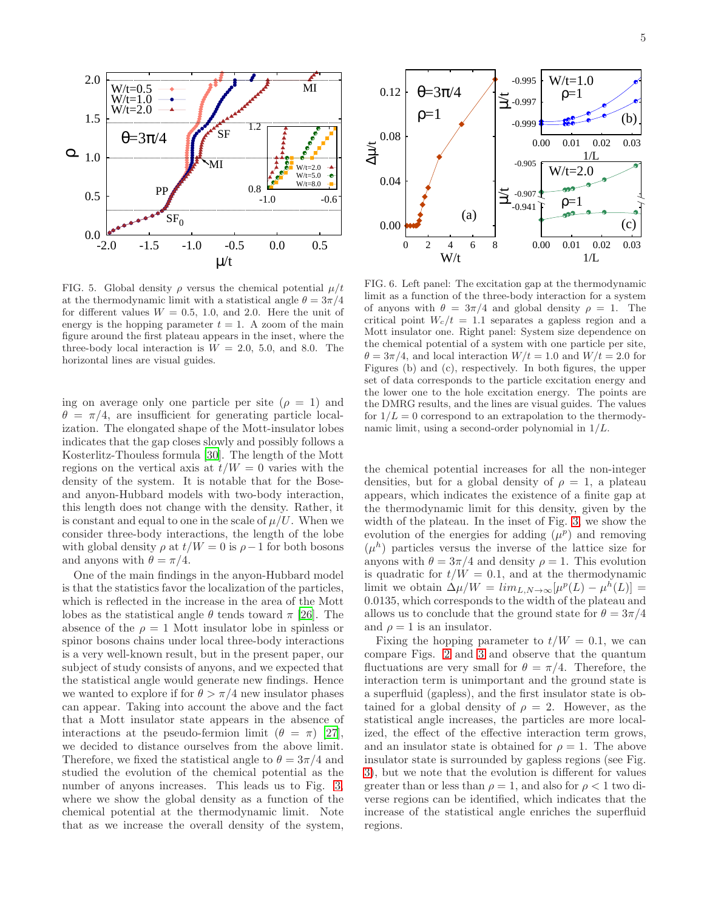

<span id="page-4-0"></span>FIG. 5. Global density  $\rho$  versus the chemical potential  $\mu/t$ at the thermodynamic limit with a statistical angle  $\theta = 3\pi/4$ for different values  $W = 0.5, 1.0,$  and 2.0. Here the unit of energy is the hopping parameter  $t = 1$ . A zoom of the main figure around the first plateau appears in the inset, where the three-body local interaction is  $W = 2.0, 5.0,$  and 8.0. The horizontal lines are visual guides.

ing on average only one particle per site  $(\rho = 1)$  and  $\theta = \pi/4$ , are insufficient for generating particle localization. The elongated shape of the Mott-insulator lobes indicates that the gap closes slowly and possibly follows a Kosterlitz-Thouless formula [\[30\]](#page-9-20). The length of the Mott regions on the vertical axis at  $t/W = 0$  varies with the density of the system. It is notable that for the Boseand anyon-Hubbard models with two-body interaction, this length does not change with the density. Rather, it is constant and equal to one in the scale of  $\mu/U$ . When we consider three-body interactions, the length of the lobe with global density  $\rho$  at  $t/W = 0$  is  $\rho - 1$  for both bosons and anyons with  $\theta = \pi/4$ .

One of the main findings in the anyon-Hubbard model is that the statistics favor the localization of the particles, which is reflected in the increase in the area of the Mott lobes as the statistical angle  $\theta$  tends toward  $\pi$  [\[26\]](#page-9-17). The absence of the  $\rho = 1$  Mott insulator lobe in spinless or spinor bosons chains under local three-body interactions is a very well-known result, but in the present paper, our subject of study consists of anyons, and we expected that the statistical angle would generate new findings. Hence we wanted to explore if for  $\theta > \pi/4$  new insulator phases can appear. Taking into account the above and the fact that a Mott insulator state appears in the absence of interactions at the pseudo-fermion limit  $(\theta = \pi)$  [\[27\]](#page-9-19), we decided to distance ourselves from the above limit. Therefore, we fixed the statistical angle to  $\theta = 3\pi/4$  and studied the evolution of the chemical potential as the number of anyons increases. This leads us to Fig. [3,](#page-3-0) where we show the global density as a function of the chemical potential at the thermodynamic limit. Note that as we increase the overall density of the system,



<span id="page-4-1"></span>FIG. 6. Left panel: The excitation gap at the thermodynamic limit as a function of the three-body interaction for a system of anyons with  $\theta = 3\pi/4$  and global density  $\rho = 1$ . The critical point  $W_c/t = 1.1$  separates a gapless region and a Mott insulator one. Right panel: System size dependence on the chemical potential of a system with one particle per site,  $\theta = 3\pi/4$ , and local interaction  $W/t = 1.0$  and  $W/t = 2.0$  for Figures (b) and (c), respectively. In both figures, the upper set of data corresponds to the particle excitation energy and the lower one to the hole excitation energy. The points are the DMRG results, and the lines are visual guides. The values for  $1/L = 0$  correspond to an extrapolation to the thermodynamic limit, using a second-order polynomial in  $1/L$ .

the chemical potential increases for all the non-integer densities, but for a global density of  $\rho = 1$ , a plateau appears, which indicates the existence of a finite gap at the thermodynamic limit for this density, given by the width of the plateau. In the inset of Fig. [3,](#page-3-0) we show the evolution of the energies for adding  $(\mu^p)$  and removing  $(\mu^h)$  particles versus the inverse of the lattice size for anyons with  $\theta = 3\pi/4$  and density  $\rho = 1$ . This evolution is quadratic for  $t/W = 0.1$ , and at the thermodynamic limit we obtain  $\Delta \mu / W = \lim_{L,N \to \infty} [\mu^p(L) - \mu^h(L)] =$ 0.0135, which corresponds to the width of the plateau and allows us to conclude that the ground state for  $\theta = 3\pi/4$ and  $\rho = 1$  is an insulator.

Fixing the hopping parameter to  $t/W = 0.1$ , we can compare Figs. [2](#page-2-2) and [3](#page-3-0) and observe that the quantum fluctuations are very small for  $\theta = \pi/4$ . Therefore, the interaction term is unimportant and the ground state is a superfluid (gapless), and the first insulator state is obtained for a global density of  $\rho = 2$ . However, as the statistical angle increases, the particles are more localized, the effect of the effective interaction term grows, and an insulator state is obtained for  $\rho = 1$ . The above insulator state is surrounded by gapless regions (see Fig. [3\)](#page-3-0), but we note that the evolution is different for values greater than or less than  $\rho = 1$ , and also for  $\rho < 1$  two diverse regions can be identified, which indicates that the increase of the statistical angle enriches the superfluid regions.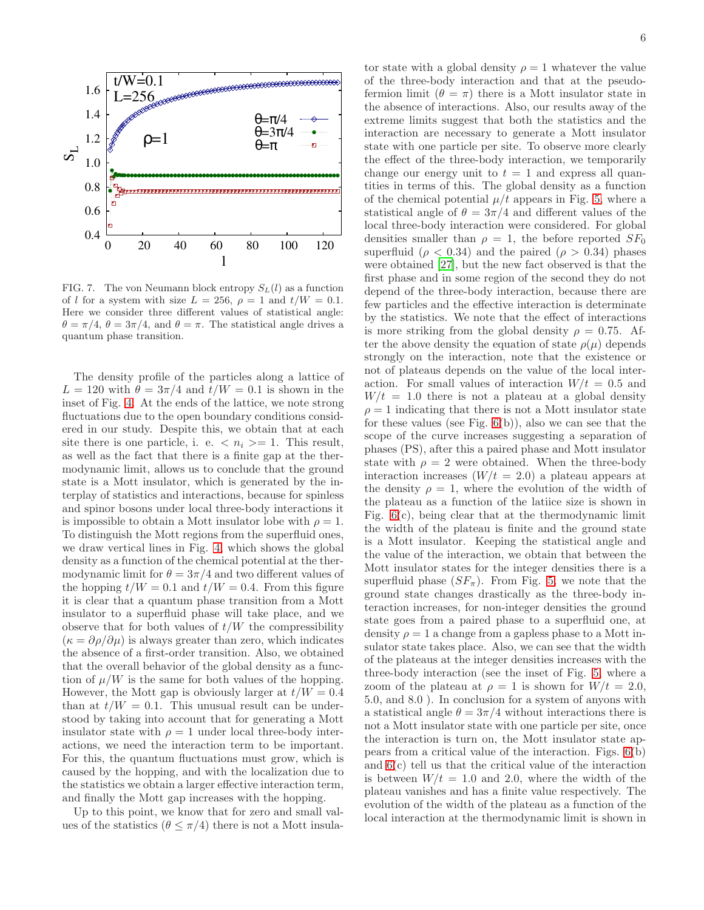

<span id="page-5-0"></span>FIG. 7. The von Neumann block entropy  $S_L(l)$  as a function of l for a system with size  $L = 256$ ,  $\rho = 1$  and  $t/W = 0.1$ . Here we consider three different values of statistical angle:  $\theta = \pi/4$ ,  $\theta = 3\pi/4$ , and  $\theta = \pi$ . The statistical angle drives a quantum phase transition.

The density profile of the particles along a lattice of  $L = 120$  with  $\theta = 3\pi/4$  and  $t/W = 0.1$  is shown in the inset of Fig. [4.](#page-3-1) At the ends of the lattice, we note strong fluctuations due to the open boundary conditions considered in our study. Despite this, we obtain that at each site there is one particle, i. e.  $\langle n_i \rangle = 1$ . This result, as well as the fact that there is a finite gap at the thermodynamic limit, allows us to conclude that the ground state is a Mott insulator, which is generated by the interplay of statistics and interactions, because for spinless and spinor bosons under local three-body interactions it is impossible to obtain a Mott insulator lobe with  $\rho = 1$ . To distinguish the Mott regions from the superfluid ones, we draw vertical lines in Fig. [4,](#page-3-1) which shows the global density as a function of the chemical potential at the thermodynamic limit for  $\theta = 3\pi/4$  and two different values of the hopping  $t/W = 0.1$  and  $t/W = 0.4$ . From this figure it is clear that a quantum phase transition from a Mott insulator to a superfluid phase will take place, and we observe that for both values of  $t/W$  the compressibility  $(\kappa = \partial \rho / \partial \mu)$  is always greater than zero, which indicates the absence of a first-order transition. Also, we obtained that the overall behavior of the global density as a function of  $\mu/W$  is the same for both values of the hopping. However, the Mott gap is obviously larger at  $t/W = 0.4$ than at  $t/W = 0.1$ . This unusual result can be understood by taking into account that for generating a Mott insulator state with  $\rho = 1$  under local three-body interactions, we need the interaction term to be important. For this, the quantum fluctuations must grow, which is caused by the hopping, and with the localization due to the statistics we obtain a larger effective interaction term, and finally the Mott gap increases with the hopping.

Up to this point, we know that for zero and small values of the statistics  $(\theta \leq \pi/4)$  there is not a Mott insula-

tor state with a global density  $\rho = 1$  whatever the value of the three-body interaction and that at the pseudofermion limit  $(\theta = \pi)$  there is a Mott insulator state in the absence of interactions. Also, our results away of the extreme limits suggest that both the statistics and the interaction are necessary to generate a Mott insulator state with one particle per site. To observe more clearly the effect of the three-body interaction, we temporarily change our energy unit to  $t = 1$  and express all quantities in terms of this. The global density as a function of the chemical potential  $\mu/t$  appears in Fig. [5,](#page-4-0) where a statistical angle of  $\theta = 3\pi/4$  and different values of the local three-body interaction were considered. For global densities smaller than  $\rho = 1$ , the before reported  $SF_0$ superfluid ( $\rho < 0.34$ ) and the paired ( $\rho > 0.34$ ) phases were obtained [\[27](#page-9-19)], but the new fact observed is that the first phase and in some region of the second they do not depend of the three-body interaction, because there are few particles and the effective interaction is determinate by the statistics. We note that the effect of interactions is more striking from the global density  $\rho = 0.75$ . After the above density the equation of state  $\rho(\mu)$  depends strongly on the interaction, note that the existence or not of plateaus depends on the value of the local interaction. For small values of interaction  $W/t = 0.5$  and  $W/t = 1.0$  there is not a plateau at a global density  $\rho = 1$  indicating that there is not a Mott insulator state for these values (see Fig.  $6(b)$ ), also we can see that the scope of the curve increases suggesting a separation of phases (PS), after this a paired phase and Mott insulator state with  $\rho = 2$  were obtained. When the three-body interaction increases  $(W/t = 2.0)$  a plateau appears at the density  $\rho = 1$ , where the evolution of the width of the plateau as a function of the latiice size is shown in Fig. [6\(](#page-4-1)c), being clear that at the thermodynamic limit the width of the plateau is finite and the ground state is a Mott insulator. Keeping the statistical angle and the value of the interaction, we obtain that between the Mott insulator states for the integer densities there is a superfluid phase  $(SF_\pi)$ . From Fig. [5,](#page-4-0) we note that the ground state changes drastically as the three-body interaction increases, for non-integer densities the ground state goes from a paired phase to a superfluid one, at density  $\rho = 1$  a change from a gapless phase to a Mott insulator state takes place. Also, we can see that the width of the plateaus at the integer densities increases with the three-body interaction (see the inset of Fig. [5,](#page-4-0) where a zoom of the plateau at  $\rho = 1$  is shown for  $W/t = 2.0$ , 5.0, and 8.0 ). In conclusion for a system of anyons with a statistical angle  $\theta = 3\pi/4$  without interactions there is not a Mott insulator state with one particle per site, once the interaction is turn on, the Mott insulator state appears from a critical value of the interaction. Figs. [6\(](#page-4-1)b) and [6\(](#page-4-1)c) tell us that the critical value of the interaction is between  $W/t = 1.0$  and 2.0, where the width of the plateau vanishes and has a finite value respectively. The evolution of the width of the plateau as a function of the local interaction at the thermodynamic limit is shown in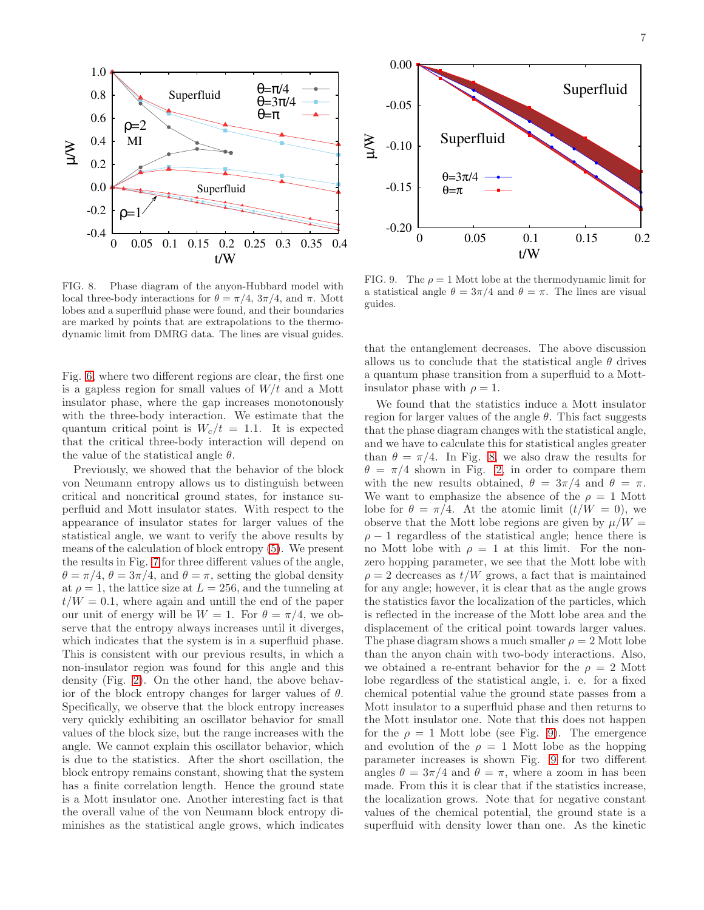

<span id="page-6-0"></span>FIG. 8. Phase diagram of the anyon-Hubbard model with local three-body interactions for  $\theta = \pi/4$ ,  $3\pi/4$ , and  $\pi$ . Mott lobes and a superfluid phase were found, and their boundaries are marked by points that are extrapolations to the thermodynamic limit from DMRG data. The lines are visual guides.

Fig. [6,](#page-4-1) where two different regions are clear, the first one is a gapless region for small values of  $W/t$  and a Mott insulator phase, where the gap increases monotonously with the three-body interaction. We estimate that the quantum critical point is  $W_c/t = 1.1$ . It is expected that the critical three-body interaction will depend on the value of the statistical angle  $\theta$ .

Previously, we showed that the behavior of the block von Neumann entropy allows us to distinguish between critical and noncritical ground states, for instance superfluid and Mott insulator states. With respect to the appearance of insulator states for larger values of the statistical angle, we want to verify the above results by means of the calculation of block entropy [\(5\)](#page-2-1). We present the results in Fig. [7](#page-5-0) for three different values of the angle,  $\theta = \pi/4$ ,  $\theta = 3\pi/4$ , and  $\theta = \pi$ , setting the global density at  $\rho = 1$ , the lattice size at  $L = 256$ , and the tunneling at  $t/W = 0.1$ , where again and untill the end of the paper our unit of energy will be  $W = 1$ . For  $\theta = \pi/4$ , we observe that the entropy always increases until it diverges, which indicates that the system is in a superfluid phase. This is consistent with our previous results, in which a non-insulator region was found for this angle and this density (Fig. [2\)](#page-2-2). On the other hand, the above behavior of the block entropy changes for larger values of  $\theta$ . Specifically, we observe that the block entropy increases very quickly exhibiting an oscillator behavior for small values of the block size, but the range increases with the angle. We cannot explain this oscillator behavior, which is due to the statistics. After the short oscillation, the block entropy remains constant, showing that the system has a finite correlation length. Hence the ground state is a Mott insulator one. Another interesting fact is that the overall value of the von Neumann block entropy diminishes as the statistical angle grows, which indicates



<span id="page-6-1"></span>FIG. 9. The  $\rho = 1$  Mott lobe at the thermodynamic limit for a statistical angle  $\theta = 3\pi/4$  and  $\theta = \pi$ . The lines are visual guides.

that the entanglement decreases. The above discussion allows us to conclude that the statistical angle  $\theta$  drives a quantum phase transition from a superfluid to a Mottinsulator phase with  $\rho = 1$ .

We found that the statistics induce a Mott insulator region for larger values of the angle  $\theta$ . This fact suggests that the phase diagram changes with the statistical angle, and we have to calculate this for statistical angles greater than  $\theta = \pi/4$ . In Fig. [8,](#page-6-0) we also draw the results for  $\theta = \pi/4$  shown in Fig. [2,](#page-2-2) in order to compare them with the new results obtained,  $\theta = 3\pi/4$  and  $\theta = \pi$ . We want to emphasize the absence of the  $\rho = 1$  Mott lobe for  $\theta = \pi/4$ . At the atomic limit  $(t/W = 0)$ , we observe that the Mott lobe regions are given by  $\mu/W =$  $\rho - 1$  regardless of the statistical angle; hence there is no Mott lobe with  $\rho = 1$  at this limit. For the nonzero hopping parameter, we see that the Mott lobe with  $\rho = 2$  decreases as  $t/W$  grows, a fact that is maintained for any angle; however, it is clear that as the angle grows the statistics favor the localization of the particles, which is reflected in the increase of the Mott lobe area and the displacement of the critical point towards larger values. The phase diagram shows a much smaller  $\rho = 2$  Mott lobe than the anyon chain with two-body interactions. Also, we obtained a re-entrant behavior for the  $\rho = 2$  Mott lobe regardless of the statistical angle, i. e. for a fixed chemical potential value the ground state passes from a Mott insulator to a superfluid phase and then returns to the Mott insulator one. Note that this does not happen for the  $\rho = 1$  Mott lobe (see Fig. [9\)](#page-6-1). The emergence and evolution of the  $\rho = 1$  Mott lobe as the hopping parameter increases is shown Fig. [9](#page-6-1) for two different angles  $\theta = 3\pi/4$  and  $\theta = \pi$ , where a zoom in has been made. From this it is clear that if the statistics increase, the localization grows. Note that for negative constant values of the chemical potential, the ground state is a superfluid with density lower than one. As the kinetic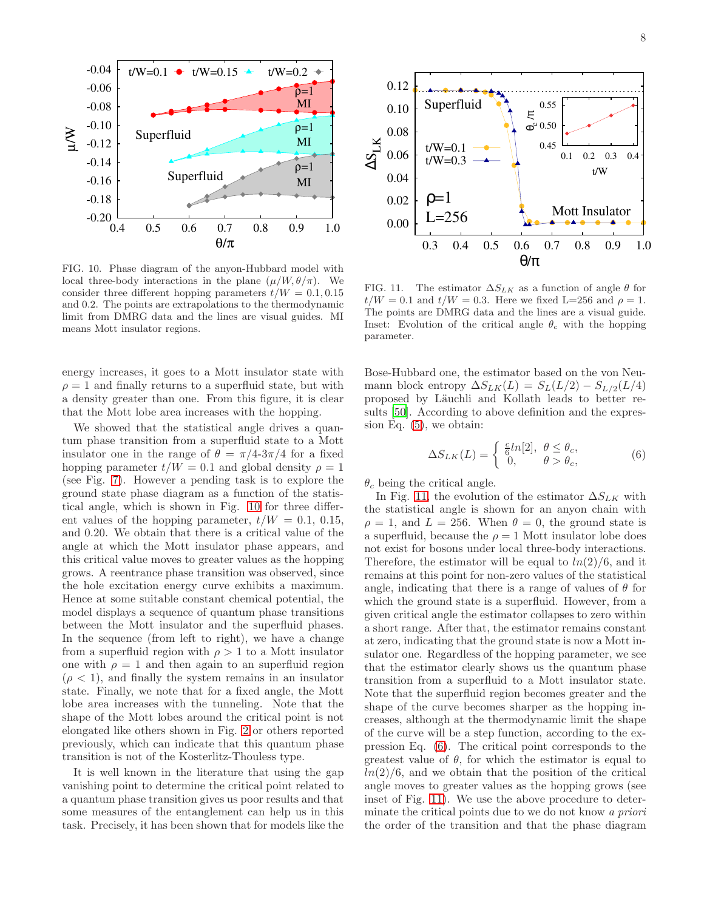

<span id="page-7-0"></span>FIG. 10. Phase diagram of the anyon-Hubbard model with local three-body interactions in the plane  $(\mu/W, \theta/\pi)$ . We consider three different hopping parameters  $t/W = 0.1, 0.15$ and 0.2. The points are extrapolations to the thermodynamic limit from DMRG data and the lines are visual guides. MI means Mott insulator regions.

energy increases, it goes to a Mott insulator state with  $\rho = 1$  and finally returns to a superfluid state, but with a density greater than one. From this figure, it is clear that the Mott lobe area increases with the hopping.

We showed that the statistical angle drives a quantum phase transition from a superfluid state to a Mott insulator one in the range of  $\theta = \pi/4-3\pi/4$  for a fixed hopping parameter  $t/W = 0.1$  and global density  $\rho = 1$ (see Fig. [7\)](#page-5-0). However a pending task is to explore the ground state phase diagram as a function of the statistical angle, which is shown in Fig. [10](#page-7-0) for three different values of the hopping parameter,  $t/W = 0.1, 0.15$ , and 0.20. We obtain that there is a critical value of the angle at which the Mott insulator phase appears, and this critical value moves to greater values as the hopping grows. A reentrance phase transition was observed, since the hole excitation energy curve exhibits a maximum. Hence at some suitable constant chemical potential, the model displays a sequence of quantum phase transitions between the Mott insulator and the superfluid phases. In the sequence (from left to right), we have a change from a superfluid region with  $\rho > 1$  to a Mott insulator one with  $\rho = 1$  and then again to an superfluid region  $(\rho < 1)$ , and finally the system remains in an insulator state. Finally, we note that for a fixed angle, the Mott lobe area increases with the tunneling. Note that the shape of the Mott lobes around the critical point is not elongated like others shown in Fig. [2](#page-2-2) or others reported previously, which can indicate that this quantum phase transition is not of the Kosterlitz-Thouless type.

It is well known in the literature that using the gap vanishing point to determine the critical point related to a quantum phase transition gives us poor results and that some measures of the entanglement can help us in this task. Precisely, it has been shown that for models like the



<span id="page-7-1"></span>FIG. 11. The estimator  $\Delta S_{LK}$  as a function of angle  $\theta$  for  $t/W = 0.1$  and  $t/W = 0.3$ . Here we fixed L=256 and  $\rho = 1$ . The points are DMRG data and the lines are a visual guide. Inset: Evolution of the critical angle  $\theta_c$  with the hopping parameter.

Bose-Hubbard one, the estimator based on the von Neumann block entropy  $\Delta S_{LK}(L) = S_L(L/2) - S_{L/2}(L/4)$ proposed by Läuchli and Kollath leads to better results [\[50](#page-9-38)]. According to above definition and the expression Eq. [\(5\)](#page-2-1), we obtain:

<span id="page-7-2"></span>
$$
\Delta S_{LK}(L) = \begin{cases} \frac{c}{6} ln[2], & \theta \le \theta_c, \\ 0, & \theta > \theta_c, \end{cases}
$$
 (6)

 $\theta_c$  being the critical angle.

In Fig. [11,](#page-7-1) the evolution of the estimator  $\Delta S_{LK}$  with the statistical angle is shown for an anyon chain with  $\rho = 1$ , and  $L = 256$ . When  $\theta = 0$ , the ground state is a superfluid, because the  $\rho = 1$  Mott insulator lobe does not exist for bosons under local three-body interactions. Therefore, the estimator will be equal to  $ln(2)/6$ , and it remains at this point for non-zero values of the statistical angle, indicating that there is a range of values of  $\theta$  for which the ground state is a superfluid. However, from a given critical angle the estimator collapses to zero within a short range. After that, the estimator remains constant at zero, indicating that the ground state is now a Mott insulator one. Regardless of the hopping parameter, we see that the estimator clearly shows us the quantum phase transition from a superfluid to a Mott insulator state. Note that the superfluid region becomes greater and the shape of the curve becomes sharper as the hopping increases, although at the thermodynamic limit the shape of the curve will be a step function, according to the expression Eq. [\(6\)](#page-7-2). The critical point corresponds to the greatest value of  $\theta$ , for which the estimator is equal to  $ln(2)/6$ , and we obtain that the position of the critical angle moves to greater values as the hopping grows (see inset of Fig. [11\)](#page-7-1). We use the above procedure to determinate the critical points due to we do not know a priori the order of the transition and that the phase diagram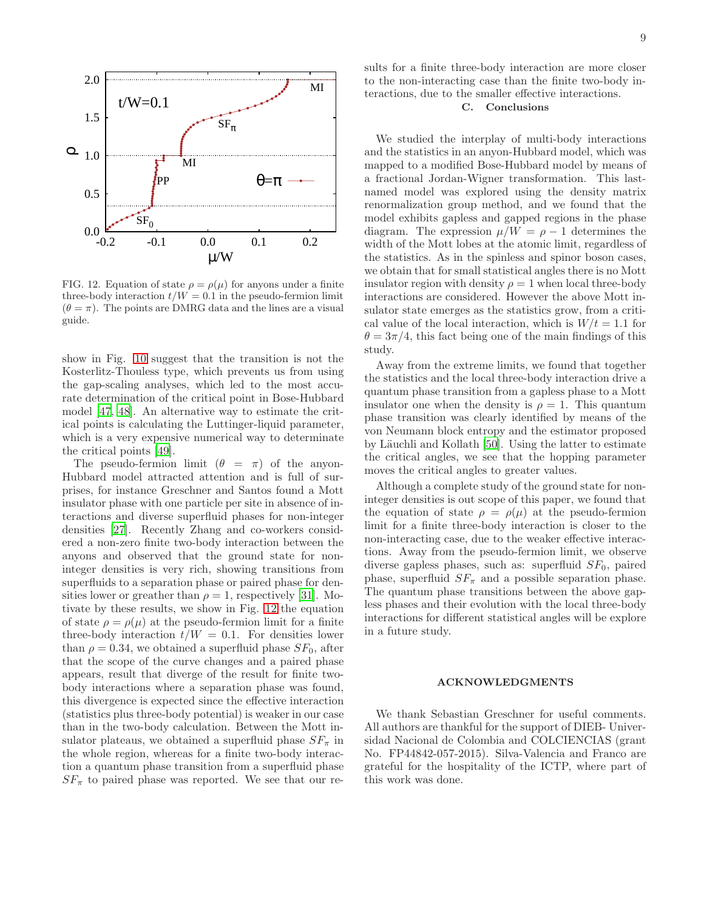

<span id="page-8-1"></span>FIG. 12. Equation of state  $\rho = \rho(\mu)$  for anyons under a finite three-body interaction  $t/W = 0.1$  in the pseudo-fermion limit  $(\theta = \pi)$ . The points are DMRG data and the lines are a visual guide.

show in Fig. [10](#page-7-0) suggest that the transition is not the Kosterlitz-Thouless type, which prevents us from using the gap-scaling analyses, which led to the most accurate determination of the critical point in Bose-Hubbard model [\[47,](#page-9-35) [48\]](#page-9-36). An alternative way to estimate the critical points is calculating the Luttinger-liquid parameter, which is a very expensive numerical way to determinate the critical points [\[49](#page-9-37)].

The pseudo-fermion limit  $(\theta = \pi)$  of the anyon-Hubbard model attracted attention and is full of surprises, for instance Greschner and Santos found a Mott insulator phase with one particle per site in absence of interactions and diverse superfluid phases for non-integer densities [\[27\]](#page-9-19). Recently Zhang and co-workers considered a non-zero finite two-body interaction between the anyons and observed that the ground state for noninteger densities is very rich, showing transitions from superfluids to a separation phase or paired phase for densities lower or greather than  $\rho = 1$ , respectively [\[31\]](#page-9-21). Motivate by these results, we show in Fig. [12](#page-8-1) the equation of state  $\rho = \rho(\mu)$  at the pseudo-fermion limit for a finite three-body interaction  $t/W = 0.1$ . For densities lower than  $\rho = 0.34$ , we obtained a superfluid phase  $SF<sub>0</sub>$ , after that the scope of the curve changes and a paired phase appears, result that diverge of the result for finite twobody interactions where a separation phase was found, this divergence is expected since the effective interaction (statistics plus three-body potential) is weaker in our case than in the two-body calculation. Between the Mott insulator plateaus, we obtained a superfluid phase  $SF_{\pi}$  in the whole region, whereas for a finite two-body interaction a quantum phase transition from a superfluid phase  $SF_{\pi}$  to paired phase was reported. We see that our results for a finite three-body interaction are more closer to the non-interacting case than the finite two-body interactions, due to the smaller effective interactions.

## <span id="page-8-0"></span>C. Conclusions

We studied the interplay of multi-body interactions and the statistics in an anyon-Hubbard model, which was mapped to a modified Bose-Hubbard model by means of a fractional Jordan-Wigner transformation. This lastnamed model was explored using the density matrix renormalization group method, and we found that the model exhibits gapless and gapped regions in the phase diagram. The expression  $\mu/W = \rho - 1$  determines the width of the Mott lobes at the atomic limit, regardless of the statistics. As in the spinless and spinor boson cases, we obtain that for small statistical angles there is no Mott insulator region with density  $\rho = 1$  when local three-body interactions are considered. However the above Mott insulator state emerges as the statistics grow, from a critical value of the local interaction, which is  $W/t = 1.1$  for  $\theta = 3\pi/4$ , this fact being one of the main findings of this study.

Away from the extreme limits, we found that together the statistics and the local three-body interaction drive a quantum phase transition from a gapless phase to a Mott insulator one when the density is  $\rho = 1$ . This quantum phase transition was clearly identified by means of the von Neumann block entropy and the estimator proposed by Läuchli and Kollath [\[50\]](#page-9-38). Using the latter to estimate the critical angles, we see that the hopping parameter moves the critical angles to greater values.

Although a complete study of the ground state for noninteger densities is out scope of this paper, we found that the equation of state  $\rho = \rho(\mu)$  at the pseudo-fermion limit for a finite three-body interaction is closer to the non-interacting case, due to the weaker effective interactions. Away from the pseudo-fermion limit, we observe diverse gapless phases, such as: superfluid  $SF<sub>0</sub>$ , paired phase, superfluid  $SF_{\pi}$  and a possible separation phase. The quantum phase transitions between the above gapless phases and their evolution with the local three-body interactions for different statistical angles will be explore in a future study.

## ACKNOWLEDGMENTS

We thank Sebastian Greschner for useful comments. All authors are thankful for the support of DIEB- Universidad Nacional de Colombia and COLCIENCIAS (grant No. FP44842-057-2015). Silva-Valencia and Franco are grateful for the hospitality of the ICTP, where part of this work was done.